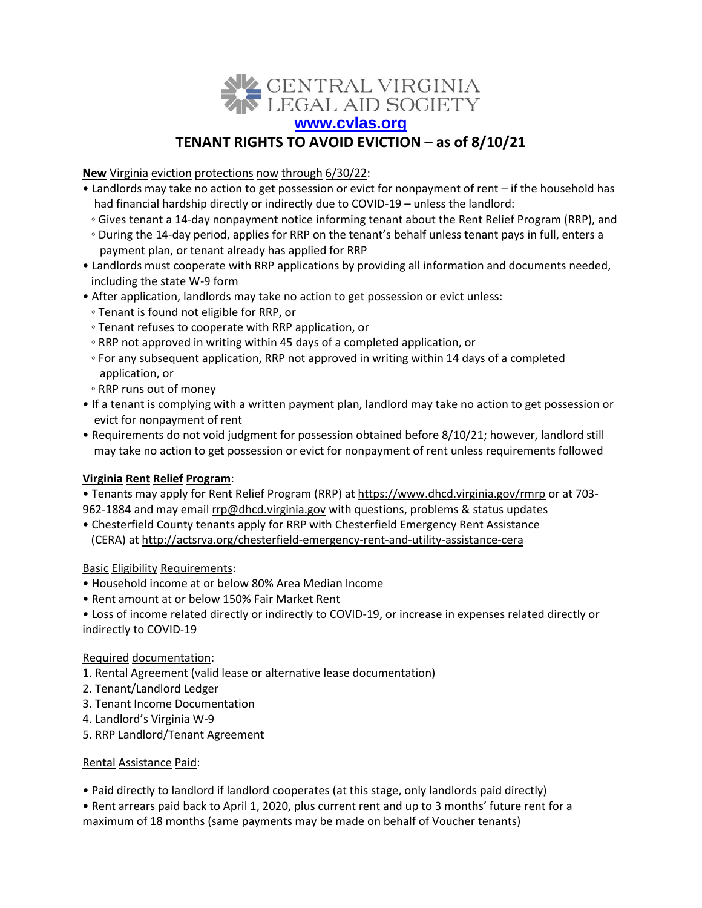

# **TENANT RIGHTS TO AVOID EVICTION – as of 8/10/21**

**New** Virginia eviction protections now through 6/30/22:

- Landlords may take no action to get possession or evict for nonpayment of rent if the household has had financial hardship directly or indirectly due to COVID-19 – unless the landlord:
	- Gives tenant a 14-day nonpayment notice informing tenant about the Rent Relief Program (RRP), and
	- During the 14-day period, applies for RRP on the tenant's behalf unless tenant pays in full, enters a payment plan, or tenant already has applied for RRP
- Landlords must cooperate with RRP applications by providing all information and documents needed, including the state W-9 form
- After application, landlords may take no action to get possession or evict unless:
	- Tenant is found not eligible for RRP, or
	- Tenant refuses to cooperate with RRP application, or
	- RRP not approved in writing within 45 days of a completed application, or
	- For any subsequent application, RRP not approved in writing within 14 days of a completed application, or
	- RRP runs out of money
- If a tenant is complying with a written payment plan, landlord may take no action to get possession or evict for nonpayment of rent
- Requirements do not void judgment for possession obtained before 8/10/21; however, landlord still may take no action to get possession or evict for nonpayment of rent unless requirements followed

#### **Virginia Rent Relief Program**:

• Tenants may apply for Rent Relief Program (RRP) at<https://www.dhcd.virginia.gov/rmrp> or at 703962-1884 and may email [rrp@dhcd.virginia.gov](mailto:rrp@dhcd.virginia.gov) with questions, problems & status updates

• Chesterfield County tenants apply for RRP with Chesterfield Emergency Rent Assistance (CERA) a[t http://actsrva.org/chesterfield-emergency-rent-and-utility-assistance-cera](http://actsrva.org/chesterfield-emergency-rent-and-utility-assistance-cera)

#### Basic Eligibility Requirements:

- Household income at or below 80% Area Median Income
- Rent amount at or below 150% Fair Market Rent
- Loss of income related directly or indirectly to COVID-19, or increase in expenses related directly or indirectly to COVID-19

#### Required documentation:

- 1. Rental Agreement (valid lease or alternative lease documentation)
- 2. Tenant/Landlord Ledger
- 3. Tenant Income Documentation
- 4. Landlord's Virginia W-9
- 5. RRP Landlord/Tenant Agreement

#### Rental Assistance Paid:

• Paid directly to landlord if landlord cooperates (at this stage, only landlords paid directly)

• Rent arrears paid back to April 1, 2020, plus current rent and up to 3 months' future rent for a maximum of 18 months (same payments may be made on behalf of Voucher tenants)